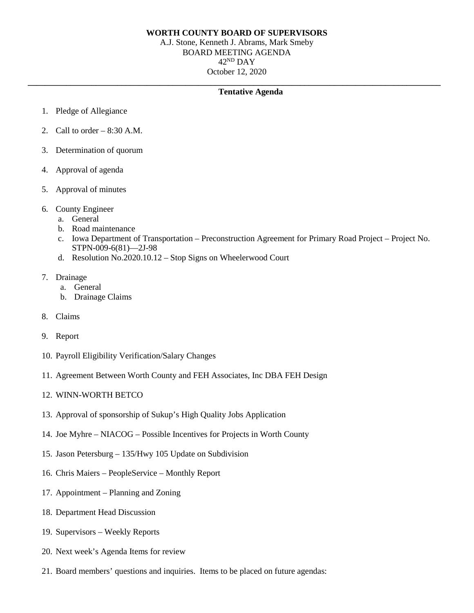## **WORTH COUNTY BOARD OF SUPERVISORS**

A.J. Stone, Kenneth J. Abrams, Mark Smeby BOARD MEETING AGENDA 42ND DAY October 12, 2020

## **\_\_\_\_\_\_\_\_\_\_\_\_\_\_\_\_\_\_\_\_\_\_\_\_\_\_\_\_\_\_\_\_\_\_\_\_\_\_\_\_\_\_\_\_\_\_\_\_\_\_\_\_\_\_\_\_\_\_\_\_\_\_\_\_\_\_\_\_\_\_\_\_\_\_\_\_\_\_\_\_\_\_\_\_\_\_\_\_\_\_\_\_\_\_\_\_\_ Tentative Agenda**

- 1. Pledge of Allegiance
- 2. Call to order  $-8:30$  A.M.
- 3. Determination of quorum
- 4. Approval of agenda
- 5. Approval of minutes
- 6. County Engineer
	- a. General
	- b. Road maintenance
	- c. Iowa Department of Transportation Preconstruction Agreement for Primary Road Project Project No. STPN-009-6(81)—2J-98
	- d. Resolution No.2020.10.12 Stop Signs on Wheelerwood Court
- 7. Drainage
	- a. General
	- b. Drainage Claims
- 8. Claims
- 9. Report
- 10. Payroll Eligibility Verification/Salary Changes
- 11. Agreement Between Worth County and FEH Associates, Inc DBA FEH Design
- 12. WINN-WORTH BETCO
- 13. Approval of sponsorship of Sukup's High Quality Jobs Application
- 14. Joe Myhre NIACOG Possible Incentives for Projects in Worth County
- 15. Jason Petersburg 135/Hwy 105 Update on Subdivision
- 16. Chris Maiers PeopleService Monthly Report
- 17. Appointment Planning and Zoning
- 18. Department Head Discussion
- 19. Supervisors Weekly Reports
- 20. Next week's Agenda Items for review
- 21. Board members' questions and inquiries. Items to be placed on future agendas: